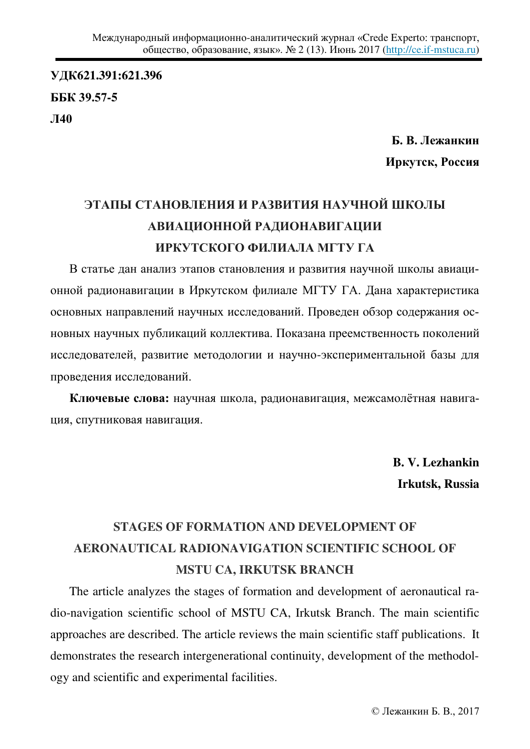**ɍȾɄ621.391:621.396 ȻȻɄ 39.57-5**  Л40

> **Б. В. Лежанкин Иркутск, Россия**

## ЭТАПЫ СТАНОВЛЕНИЯ И РАЗВИТИЯ НАУЧНОЙ ШКОЛЫ АВИАЦИОННОЙ РАДИОНАВИГАЦИИ **ИРКУТСКОГО ФИЛИАЛА МГТУ ГА**

В статье дан анализ этапов становления и развития научной школы авиационной радионавигации в Иркутском филиале МГТУ ГА. Дана характеристика основных направлений научных исследований. Проведен обзор содержания основных научных публикаций коллектива. Показана преемственность поколений исследователей, развитие методологии и научно-экспериментальной базы для проведения исследований.

Ключевые слова: научная школа, радионавигация, межсамолётная навигация, спутниковая навигация.

> **B. V. Lezhankin Irkutsk, Russia**

## **STAGES OF FORMATION AND DEVELOPMENT OF AERONAUTICAL RADIONAVIGATION SCIENTIFIC SCHOOL OF MSTU CA, IRKUTSK BRANCH**

The article analyzes the stages of formation and development of aeronautical radio-navigation scientific school of MSTU CA, Irkutsk Branch. The main scientific approaches are described. The article reviews the main scientific staff publications. It demonstrates the research intergenerational continuity, development of the methodology and scientific and experimental facilities.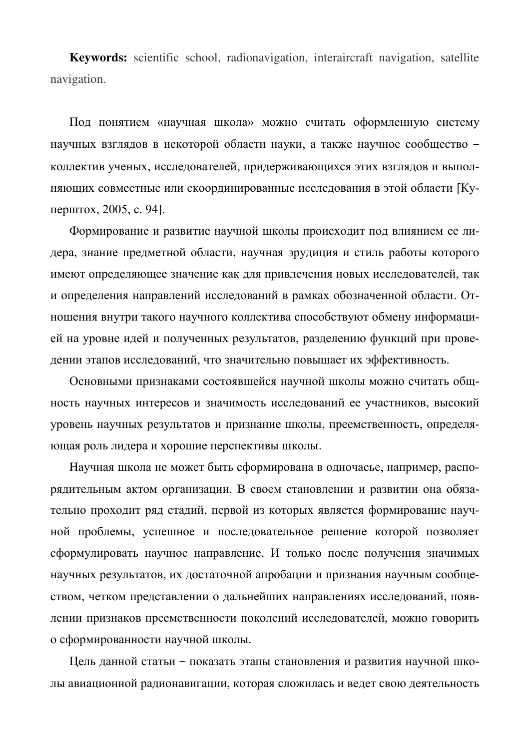**Keywords:** scientific school, radionavigation, interaircraft navigation, satellite navigation.

Под понятием «научная школа» можно считать оформленную систему научных взглядов в некоторой области науки, а также научное сообщество коллектив ученых, исследователей, придерживающихся этих взглядов и выполняющих совместные или скоординированные исследования в этой области [Куперштох, 2005, с. 94].

Формирование и развитие научной школы происходит под влиянием ее лидера, знание предметной области, научная эрудиция и стиль работы которого имеют определяющее значение как для привлечения новых исследователей, так и определения направлений исследований в рамках обозначенной области. Отношения внутри такого научного коллектива способствуют обмену информацией на уровне идей и полученных результатов, разделению функций при проведении этапов исследований, что значительно повышает их эффективность.

Основными признаками состоявшейся научной школы можно считать общность научных интересов и значимость исследований ее участников, высокий уровень научных результатов и признание школы, преемственность, определяющая роль лидера и хорошие перспективы школы.

Научная школа не может быть сформирована в одночасье, например, распорядительным актом организации. В своем становлении и развитии она обязательно проходит ряд стадий, первой из которых является формирование научной проблемы, успешное и последовательное решение которой позволяет сформулировать научное направление. И только после получения значимых научных результатов, их достаточной апробации и признания научным сообществом, четком представлении о дальнейших направлениях исследований, появлении признаков преемственности поколений исследователей, можно говорить о сформированности научной школы.

Цель данной статьи - показать этапы становления и развития научной школы авиационной радионавигации, которая сложилась и ведет свою деятельность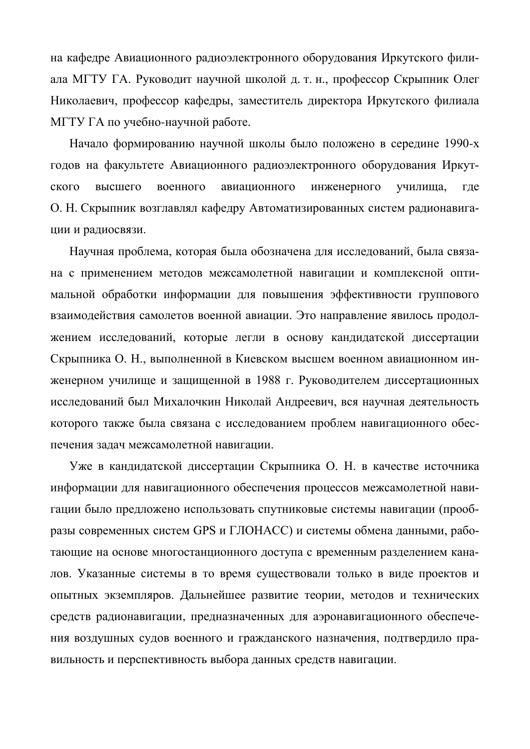на кафедре Авиационного радиоэлектронного оборудования Иркутского филиала МГТУ ГА. Руководит научной школой д. т. н., профессор Скрыпник Олег Николаевич, профессор кафедры, заместитель директора Иркутского филиала МГТУ ГА по учебно-научной работе.

Начало формированию научной школы было положено в середине 1990-х годов на факультете Авиационного радиоэлектронного оборудования Иркутского высшего военного авиационного инженерного училища, где О. Н. Скрыпник возглавлял кафедру Автоматизированных систем радионавигации и радиосвязи.

Научная проблема, которая была обозначена для исследований, была связана с применением методов межсамолетной навигации и комплексной оптимальной обработки информации для повышения эффективности группового взаимодействия самолетов военной авиации. Это направление явилось продолжением исследований, которые легли в основу кандидатской диссертации Скрыпника О. Н., выполненной в Киевском высшем военном авиационном инженерном училище и защищенной в 1988 г. Руководителем диссертационных исследований был Михалочкин Николай Андреевич, вся научная деятельность которого также была связана с исследованием проблем навигационного обеспечения задач межсамолетной навигации.

Уже в кандидатской диссертации Скрыпника О. Н. в качестве источника информации для навигационного обеспечения процессов межсамолетной навигации было предложено использовать спутниковые системы навигации (прообразы современных систем GPS и ГЛОНАСС) и системы обмена данными, работающие на основе многостанционного доступа с временным разделением канадов. Указанные системы в то время существовали только в виде проектов и опытных экземпляров. Дальнейшее развитие теории, методов и технических средств радионавигации, предназначенных для аэронавигационного обеспечения воздушных судов военного и гражданского назначения, подтвердило правильность и перспективность выбора данных средств навигации.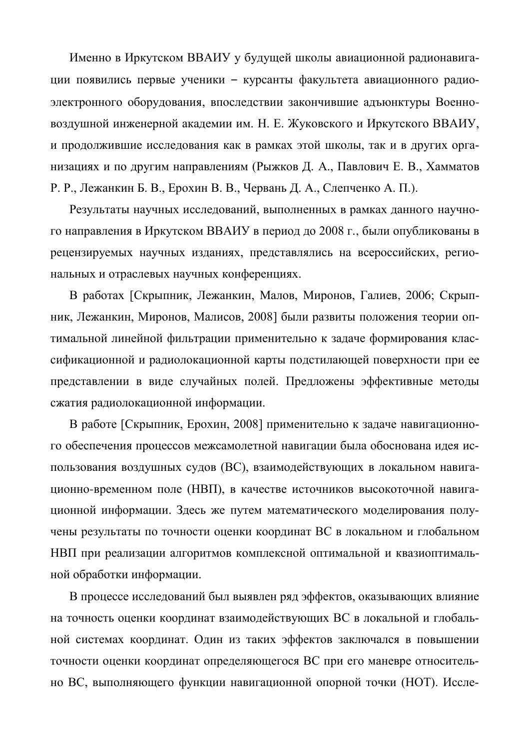Именно в Иркутском ВВАИУ у будущей школы авиационной радионавигации появились первые ученики - курсанты факультета авиационного радиоэлектронного оборудования, впоследствии закончившие адъюнктуры Военновоздушной инженерной академии им. Н. Е. Жуковского и Иркутского ВВАИУ, и продолжившие исследования как в рамках этой школы, так и в других организациях и по другим направлениям (Рыжков Д. А., Павлович Е. В., Хамматов Р. Р., Лежанкин Б. В., Ерохин В. В., Червань Д. А., Слепченко А. П.).

Результаты научных исследований, выполненных в рамках данного научного направления в Иркутском ВВАИУ в период до 2008 г., были опубликованы в рецензируемых научных изданиях, представлялись на всероссийских, региональных и отраслевых научных конференциях.

В работах [Скрыпник, Лежанкин, Малов, Миронов, Галиев, 2006; Скрыпник, Лежанкин, Миронов, Малисов, 2008] были развиты положения теории оптимальной линейной фильтрации применительно к задаче формирования классификационной и радиолокационной карты подстилающей поверхности при ее представлении в виде случайных полей. Предложены эффективные методы сжатия радиолокационной информации.

В работе [Скрыпник, Ерохин, 2008] применительно к задаче навигационного обеспечения процессов межсамолетной навигации была обоснована идея использования воздушных судов (ВС), взаимодействующих в локальном навигационно-временном поле (НВП), в качестве источников высокоточной навигационной информации. Здесь же путем математического моделирования получены результаты по точности оценки координат ВС в локальном и глобальном НВП при реализации алгоритмов комплексной оптимальной и квазиоптимальной обработки информации.

В процессе исследований был выявлен ряд эффектов, оказывающих влияние на точность оценки координат взаимодействующих ВС в локальной и глобальной системах координат. Один из таких эффектов заключался в повышении точности оценки координат определяющегося ВС при его маневре относительно ВС, выполняющего функции навигационной опорной точки (НОТ). Иссле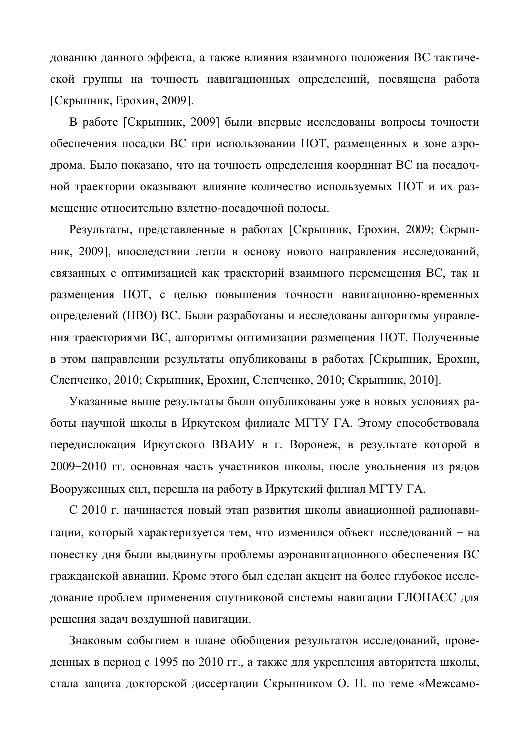дованию данного эффекта, а также влияния взаимного положения ВС тактической группы на точность навигационных определений, посвящена работа  $[C\kappa p$ ыпник, Ерохин, 2009].

В работе [Скрыпник, 2009] были впервые исследованы вопросы точности обеспечения посадки ВС при использовании НОТ, размещенных в зоне аэродрома. Было показано, что на точность определения координат ВС на посадочной траектории оказывают влияние количество используемых НОТ и их размещение относительно взлетно-посадочной полосы.

Результаты, представленные в работах [Скрыпник, Ерохин, 2009; Скрыпник, 2009], впоследствии легли в основу нового направления исследований, связанных с оптимизацией как траекторий взаимного перемещения ВС, так и размещения НОТ, с целью повышения точности навигационно-временных определений (НВО) ВС. Были разработаны и исследованы алгоритмы управления траекториями ВС, алгоритмы оптимизации размещения НОТ. Полученные в этом направлении результаты опубликованы в работах [Скрыпник, Ерохин, Слепченко, 2010; Скрыпник, Ерохин, Слепченко, 2010; Скрыпник, 2010].

Указанные выше результаты были опубликованы уже в новых условиях работы научной школы в Иркутском филиале МГТУ ГА. Этому способствовала передислокация Иркутского ВВАИУ в г. Воронеж, в результате которой в 2009–2010 гг. основная часть участников школы, после увольнения из рядов Вооруженных сил, перешла на работу в Иркутский филиал МГТУ ГА.

С 2010 г. начинается новый этап развития школы авиационной радионавигации, который характеризуется тем, что изменился объект исследований - на повестку дня были выдвинуты проблемы аэронавигационного обеспечения ВС гражданской авиации. Кроме этого был сделан акцент на более глубокое исследование проблем применения спутниковой системы навигации ГЛОНАСС для решения задач воздушной навигации.

Знаковым событием в плане обобщения результатов исследований, проведенных в период с 1995 по 2010 гг., а также для укрепления авторитета школы, стала защита докторской диссертации Скрыпником О. Н. по теме «Межсамо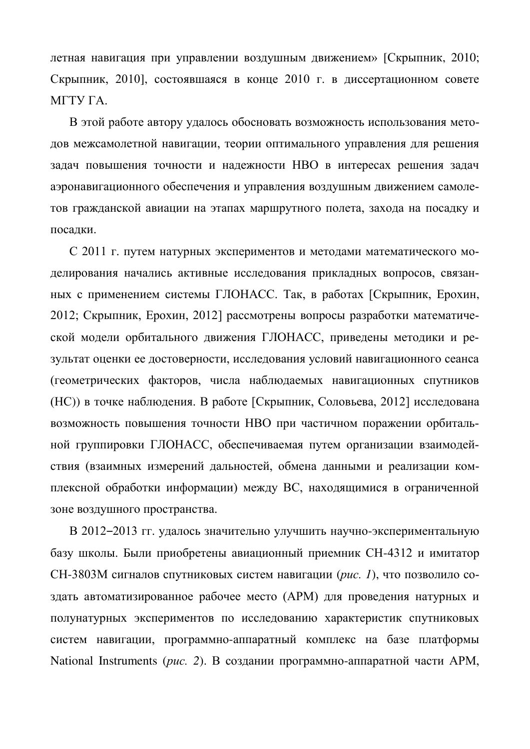летная навигация при управлении воздушным движением» [Скрыпник, 2010; Скрыпник, 2010], состоявшаяся в конце 2010 г. в диссертационном совете МГТУ ГА.

В этой работе автору удалось обосновать возможность использования методов межсамолетной навигации, теории оптимального управления для решения задач повышения точности и надежности НВО в интересах решения задач аэронавигационного обеспечения и управления воздушным движением самолетов гражданской авиации на этапах маршрутного полета, захода на посадку и посалки.

С 2011 г. путем натурных экспериментов и методами математического моделирования начались активные исследования прикладных вопросов, связанных с применением системы ГЛОНАСС. Так, в работах [Скрыпник, Ерохин, 2012; Скрыпник, Ерохин, 2012] рассмотрены вопросы разработки математической модели орбитального движения ГЛОНАСС, приведены методики и результат оценки ее достоверности, исследования условий навигационного сеанса (геометрических факторов, числа наблюдаемых навигационных спутников (HC)) в точке наблюдения. В работе [Скрыпник, Соловьева, 2012] исследована возможность повышения точности НВО при частичном поражении орбитальной группировки ГЛОНАСС, обеспечиваемая путем организации взаимодействия (взаимных измерений дальностей, обмена данными и реализации комплексной обработки информации) между ВС, находящимися в ограниченной зоне воздушного пространства.

В 2012-2013 гг. удалось значительно улучшить научно-экспериментальную базу школы. Были приобретены авиационный приемник СН-4312 и имитатор СН-3803М сигналов спутниковых систем навигации (рис. 1), что позволило создать автоматизированное рабочее место (АРМ) для проведения натурных и полунатурных экспериментов по исследованию характеристик спутниковых систем навигации, программно-аппаратный комплекс на базе платформы National Instruments (рис. 2). В создании программно-аппаратной части APM,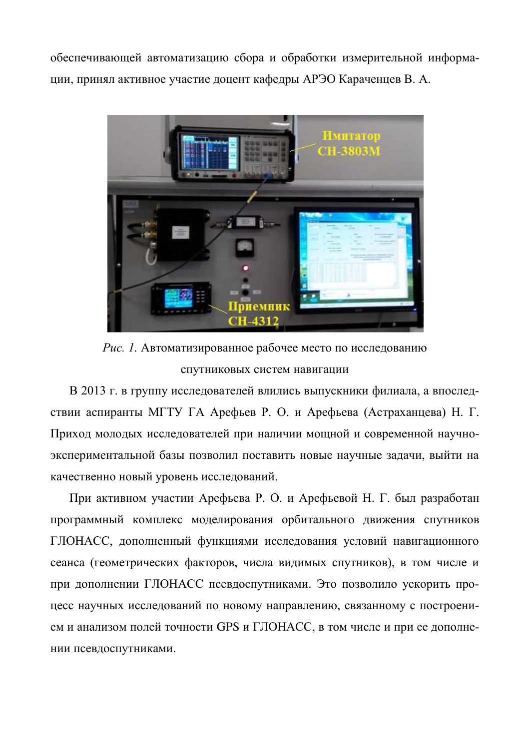обеспечивающей автоматизацию сбора и обработки измерительной информации, принял активное участие доцент кафедры АРЭО Караченцев В. А.



Рис. 1. Автоматизированное рабочее место по исследованию спутниковых систем навигации

В 2013 г. в группу исследователей влились выпускники филиала, а впоследствии аспиранты МГТУ ГА Арефьев Р. О. и Арефьева (Астраханцева) Н. Г. Приход молодых исследователей при наличии мощной и современной научноэкспериментальной базы позволил поставить новые научные задачи, выйти на качественно новый уровень исследований.

При активном участии Арефьева Р. О. и Арефьевой Н. Г. был разработан программный комплекс моделирования орбитального движения спутников ГЛОНАСС, лополненный функциями исследования условий навигационного сеанса (геометрических факторов, числа видимых спутников), в том числе и при дополнении ГЛОНАСС псевдоспутниками. Это позволило ускорить процесс научных исследований по новому направлению, связанному с построением и анализом полей точности GPS и ГЛОНАСС, в том числе и при ее дополнении псевдоспутниками.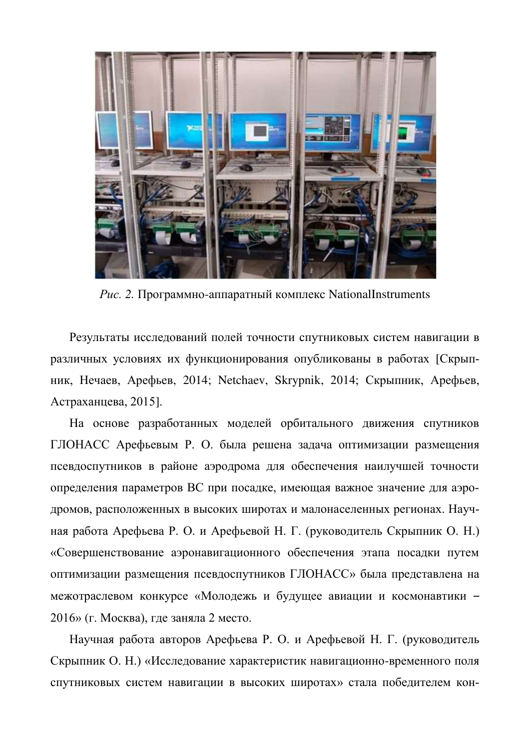

*Puc.* 2. Программно-аппаратный комплекс NationalInstruments

Результаты исследований полей точности спутниковых систем навигации в различных условиях их функционирования опубликованы в работах [Скрыпник, Нечаев, Арефьев, 2014; Netchaev, Skrypnik, 2014; Скрыпник, Арефьев,  $A$ страханцева, 2015].

На основе разработанных моделей орбитального движения спутников ГЛОНАСС Арефьевым Р. О. была решена задача оптимизации размещения псевдоспутников в районе аэродрома для обеспечения наилучшей точности определения параметров ВС при посадке, имеющая важное значение для аэродромов, расположенных в высоких широтах и малонаселенных регионах. Научная работа Арефьева Р. О. и Арефьевой Н. Г. (руководитель Скрыпник О. Н.) «Совершенствование аэронавигационного обеспечения этапа посадки путем оптимизации размещения псевдоспутников ГЛОНАСС» была представлена на межотраслевом конкурсе «Молодежь и будущее авиации и космонавтики -2016» (г. Москва), где заняла 2 место.

Научная работа авторов Арефьева Р. О. и Арефьевой Н. Г. (руководитель Скрыпник О. Н.) «Исследование характеристик навигационно-временного поля спутниковых систем навигации в высоких широтах» стала победителем кон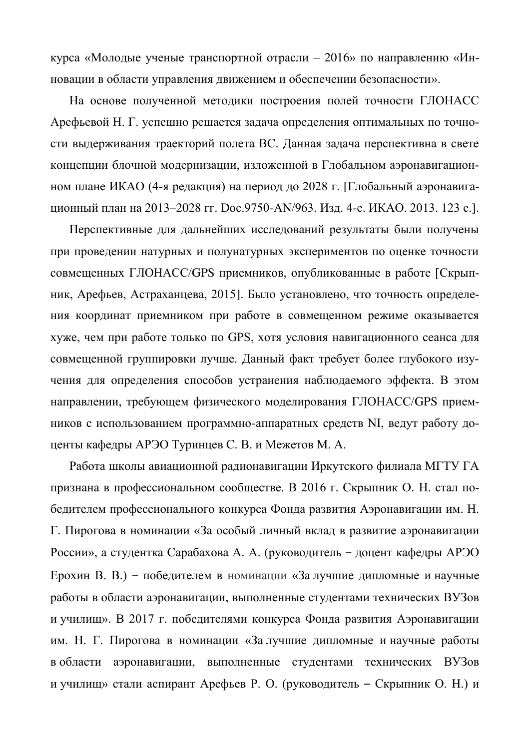курса «Молодые ученые транспортной отрасли – 2016» по направлению «Инновации в области управления движением и обеспечении безопасности».

На основе полученной методики построения полей точности ГЛОНАСС Арефьевой Н. Г. успешно решается задача определения оптимальных по точности выдерживания траекторий полета ВС. Данная задача перспективна в свете концепции блочной модернизации, изложенной в Глобальном аэронавигационном плане ИКАО (4-я редакция) на период до 2028 г. [Глобальный аэронавигационный план на 2013–2028 гг. Doc.9750-AN/963. Изд. 4-е. ИКАО. 2013. 123 с.].

Перспективные для дальнейших исследований результаты были получены при проведении натурных и полунатурных экспериментов по оценке точности совмещенных ГЛОНАСС/GPS приемников, опубликованные в работе [Скрыпник, Арефьев, Астраханцева, 2015]. Было установлено, что точность определения координат приемником при работе в совмещенном режиме оказывается хуже, чем при работе только по GPS, хотя условия навигационного сеанса для совмещенной группировки лучше. Данный факт требует более глубокого изучения для определения способов устранения наблюдаемого эффекта. В этом направлении, требующем физического моделирования ГЛОНАСС/GPS приемников с использованием программно-аппаратных средств NI, ведут работу доценты кафедры АРЭО Туринцев С. В. и Межетов М. А.

Работа школы авиационной радионавигации Иркутского филиала МГТУ ГА признана в профессиональном сообществе. В 2016 г. Скрыпник О. Н. стал победителем профессионального конкурса Фонда развития Аэронавигации им. Н. Г. Пирогова в номинации «За особый личный вклад в развитие аэронавигации России», а студентка Сарабахова А. А. (руководитель – доцент кафедры АРЭО Ерохин В. В.) – победителем в номинации «За лучшие дипломные и научные работы в области аэронавигации, выполненные студентами технических ВУЗов и училищ». В 2017 г. победителями конкурса Фонда развития Аэронавигации им. Н. Г. Пирогова в номинации «За лучшие дипломные и научные работы в области аэронавигации, выполненные студентами технических ВУЗов и училищ» стали аспирант Арефьев Р. О. (руководитель - Скрыпник О. Н.) и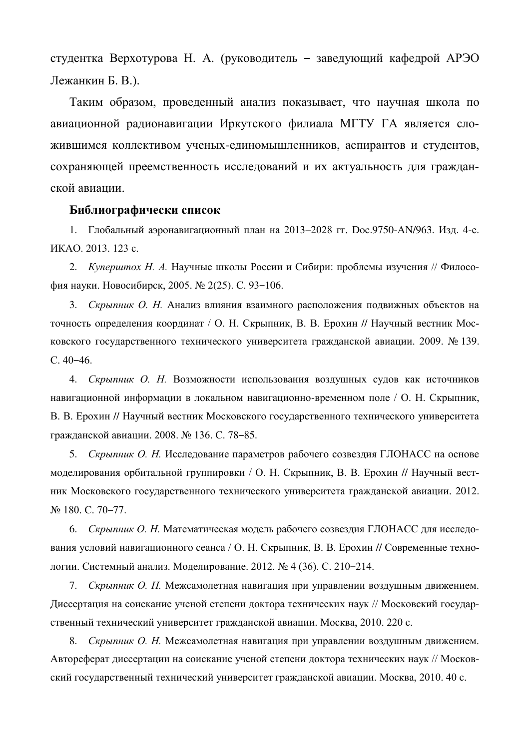студентка Верхотурова Н. А. (руководитель – заведующий кафедрой АРЭО Лежанкин Б. В.).

Таким образом, проведенный анализ показывает, что научная школа по авиационной радионавигации Иркутского филиала МГТУ ГА является сложившимся коллективом ученых-единомышленников, аспирантов и студентов, сохраняющей преемственность исследований и их актуальность для гражданской авиации.

## **Библиографически список**

1. Глобальный аэронавигационный план на 2013–2028 гг. Doc.9750-AN/963. Изд. 4-е. HKAO. 2013. 123 c.

2. *Куперштох Н. А.* Научные школы России и Сибири: проблемы изучения // Философия науки. Новосибирск, 2005. № 2(25). С. 93-106.

3. *Скрыпник О. Н.* Анализ влияния взаимного расположения подвижных объектов на точность определения координат / О. Н. Скрыпник, В. В. Ерохин // Научный вестник Московского государственного технического университета гражданской авиации. 2009. № 139. C. 40–46.

4. *Скрыпник О. Н.* Возможности использования воздушных судов как источников навигационной информации в локальном навигационно-временном поле / О. Н. Скрыпник, В. В. Ерохин // Научный вестник Московского государственного технического университета гражданской авиации. 2008. № 136. С. 78-85.

5. *Скрыпник О. Н.* Исследование параметров рабочего созвездия ГЛОНАСС на основе моделирования орбитальной группировки / О. Н. Скрыпник, В. В. Ерохин // Научный вестник Московского государственного технического университета гражданской авиации. 2012. № 180. С. 70-77.

6. *Скрыпник О. Н.* Математическая модель рабочего созвездия ГЛОНАСС для исследования условий навигационного сеанса / О. Н. Скрыпник, В. В. Ерохин // Современные технологии. Системный анализ. Моделирование. 2012. № 4 (36). С. 210-214.

7. *Скрыпник О. Н.* Межсамолетная навигация при управлении воздушным движением. Диссертация на соискание ученой степени доктора технических наук // Московский государственный технический университет гражданской авиации. Москва, 2010. 220 с.

8. *Скрыпник О. Н.* Межсамолетная навигация при управлении воздушным движением. Автореферат диссертации на соискание ученой степени доктора технических наук // Московский государственный технический университет гражданской авиации. Москва, 2010. 40 с.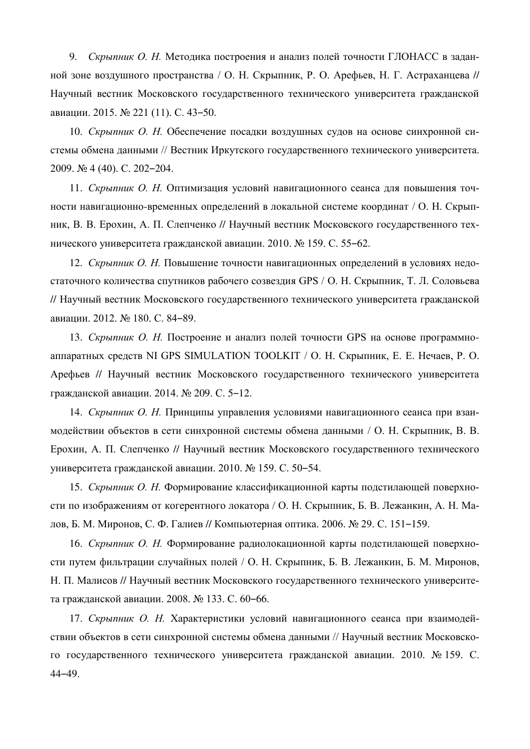9. *Скрыпник О. Н.* Методика построения и анализ полей точности ГЛОНАСС в заданной зоне воздушного пространства / О. Н. Скрыпник, Р. О. Арефьев, Н. Г. Астраханцева // Научный вестник Московского государственного технического университета гражданской авиации. 2015. № 221 (11). С. 43-50.

10. *Скрыпник О. Н.* Обеспечение посадки воздушных судов на основе синхронной системы обмена данными // Вестник Иркутского государственного технического университета. 2009. № 4 (40). C. 202-204.

11. Скрыпник О. *Н*. Оптимизация условий навигационного сеанса для повышения точности навигационно-временных определений в локальной системе координат / О. Н. Скрыпник, В. В. Ерохин, А. П. Слепченко // Научный вестник Московского государственного технического университета гражданской авиации. 2010. № 159. С. 55–62.

12. Скрыпник О. *Н*. Повышение точности навигационных определений в условиях недостаточного количества спутников рабочего созвездия GPS / О. Н. Скрыпник, Т. Л. Соловьева // Научный вестник Московского государственного технического университета гражданской авиации. 2012. № 180. С. 84-89.

13. *Скрыпник О. Н.* Построение и анализ полей точности GPS на основе программноаппаратных средств NI GPS SIMULATION TOOLKIT / О. Н. Скрыпник, Е. Е. Нечаев, Р. О. Арефьев // Научный вестник Московского государственного технического университета гражданской авиации. 2014. № 209. С. 5-12.

14. *Скрыпник О. Н.* Принципы управления условиями навигационного сеанса при взаимодействии объектов в сети синхронной системы обмена данными / О. Н. Скрыпник, В. В. Ерохин, А. П. Слепченко // Научный вестник Московского государственного технического университета гражданской авиации. 2010. № 159. С. 50-54.

15. *Скрыпник О. Н.* Формирование классификационной карты подстилающей поверхности по изображениям от когерентного локатора / О. Н. Скрыпник, Б. В. Лежанкин, А. Н. Малов, Б. М. Миронов, С. Ф. Галиев // Компьютерная оптика. 2006. № 29. С. 151–159.

16. *Скрыпник О. Н.* Формирование радиолокационной карты подстилающей поверхности путем фильтрации случайных полей / О. Н. Скрыпник, Б. В. Лежанкин, Б. М. Миронов, Н. П. Малисов // Научный вестник Московского государственного технического университета гражданской авиации. 2008. № 133. С. 60-66.

17. *Скрыпник О. Н.* Характеристики условий навигационного сеанса при взаимодействии объектов в сети синхронной системы обмена данными // Научный вестник Московского государственного технического университета гражданской авиации. 2010. № 159. С. 44‒49.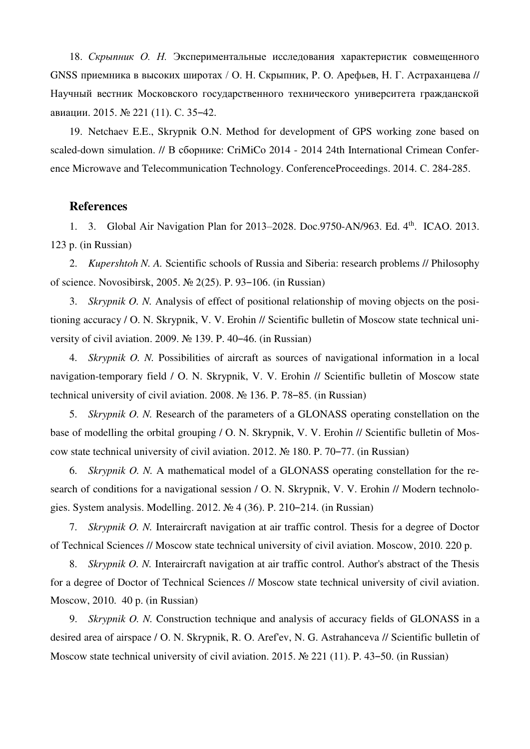18. *Скрыпник О. Н.* Экспериментальные исследования характеристик совмещенного GNSS приемника в высоких широтах / О. Н. Скрыпник, Р. О. Арефьев, Н. Г. Астраханцева // Научный вестник Московского государственного технического университета гражданской авиации. 2015. № 221 (11). С. 35-42.

19. Netchaev E.E., Skrypnik O.N. Method for development of GPS working zone based on scaled-down simulation. // В сборнике: CriMiCo 2014 - 2014 24th International Crimean Conference Microwave and Telecommunication Technology. ConferenceProceedings. 2014. C. 284-285.

## **References**

1. 3. Global Air Navigation Plan for 2013–2028. Doc.9750-AN/963. Ed. 4<sup>th</sup>. ICAO. 2013. 123 p. (in Russian)

2. *Kupershtoh N. A.* Scientific schools of Russia and Siberia: research problems // Philosophy of science. Novosibirsk, 2005. № 2(25). P. 93‒106. (in Russian)

3. *Skrypnik O. N.* Analysis of effect of positional relationship of moving objects on the positioning accuracy / O. N. Skrypnik, V. V. Erohin // Scientific bulletin of Moscow state technical university of civil aviation. 2009. № 139. P. 40–46. (in Russian)

4. *Skrypnik O. N.* Possibilities of aircraft as sources of navigational information in a local navigation-temporary field / O. N. Skrypnik, V. V. Erohin // Scientific bulletin of Moscow state technical university of civil aviation. 2008. № 136. P. 78–85. (in Russian)

5. *Skrypnik O. N.* Research of the parameters of a GLONASS operating constellation on the base of modelling the orbital grouping / O. N. Skrypnik, V. V. Erohin // Scientific bulletin of Moscow state technical university of civil aviation. 2012. № 180. P. 70–77. (in Russian)

6. *Skrypnik O. N.* A mathematical model of a GLONASS operating constellation for the research of conditions for a navigational session / O. N. Skrypnik, V. V. Erohin // Modern technologies. System analysis. Modelling. 2012. № 4 (36). P. 210–214. (in Russian)

7. *Skrypnik O. N.* Interaircraft navigation at air traffic control. Thesis for a degree of Doctor of Technical Sciences // Moscow state technical university of civil aviation. Moscow, 2010. 220 p.

8. *Skrypnik O. N.* Interaircraft navigation at air traffic control. Author's abstract of the Thesis for a degree of Doctor of Technical Sciences // Moscow state technical university of civil aviation. Moscow, 2010. 40 p. (in Russian)

9. *Skrypnik O. N.* Construction technique and analysis of accuracy fields of GLONASS in a desired area of airspace / O. N. Skrypnik, R. O. Aref'ev, N. G. Astrahanceva // Scientific bulletin of Moscow state technical university of civil aviation. 2015. № 221 (11). P. 43–50. (in Russian)